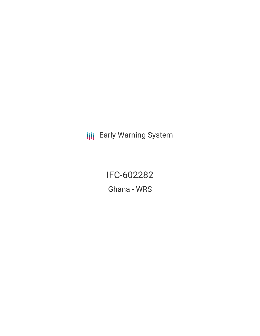**III** Early Warning System

IFC-602282 Ghana - WRS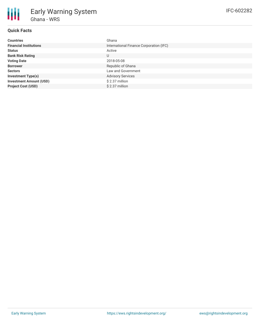## **Quick Facts**

| <b>Countries</b>               | Ghana                                   |
|--------------------------------|-----------------------------------------|
| <b>Financial Institutions</b>  | International Finance Corporation (IFC) |
| <b>Status</b>                  | Active                                  |
| <b>Bank Risk Rating</b>        | U                                       |
| <b>Voting Date</b>             | 2018-05-08                              |
| <b>Borrower</b>                | Republic of Ghana                       |
| <b>Sectors</b>                 | Law and Government                      |
| <b>Investment Type(s)</b>      | <b>Advisory Services</b>                |
| <b>Investment Amount (USD)</b> | \$2.37 million                          |
| <b>Project Cost (USD)</b>      | \$2.37 million                          |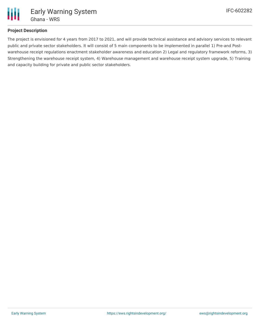

### **Project Description**

The project is envisioned for 4 years from 2017 to 2021, and will provide technical assistance and advisory services to relevant public and private sector stakeholders. It will consist of 5 main components to be implemented in parallel 1) Pre-and Postwarehouse receipt regulations enactment stakeholder awareness and education 2) Legal and regulatory framework reforms, 3) Strengthening the warehouse receipt system, 4) Warehouse management and warehouse receipt system upgrade, 5) Training and capacity building for private and public sector stakeholders.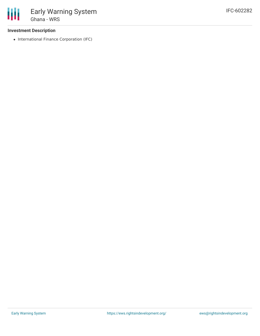### **Investment Description**

• International Finance Corporation (IFC)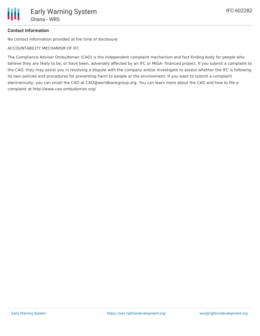# **Contact Information**

No contact information provided at the time of disclosure

ACCOUNTABILITY MECHANISM OF IFC

The Compliance Advisor Ombudsman (CAO) is the independent complaint mechanism and fact-finding body for people who believe they are likely to be, or have been, adversely affected by an IFC or MIGA- financed project. If you submit a complaint to the CAO, they may assist you in resolving a dispute with the company and/or investigate to assess whether the IFC is following its own policies and procedures for preventing harm to people or the environment. If you want to submit a complaint electronically, you can email the CAO at CAO@worldbankgroup.org. You can learn more about the CAO and how to file a complaint at http://www.cao-ombudsman.org/